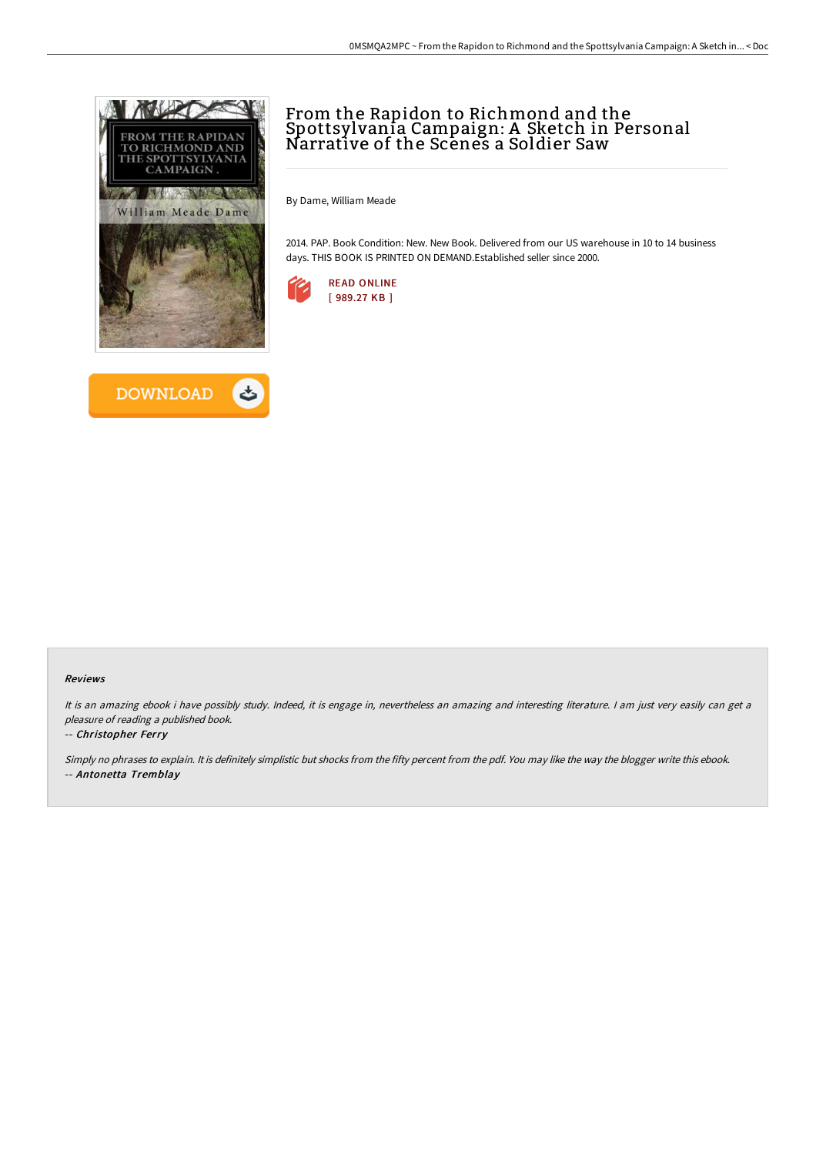



## From the Rapidon to Richmond and the Spottsylvania Campaign: A Sketch in Personal Narrative of the Scenes a Soldier Saw

By Dame, William Meade

2014. PAP. Book Condition: New. New Book. Delivered from our US warehouse in 10 to 14 business days. THIS BOOK IS PRINTED ON DEMAND.Established seller since 2000.



## Reviews

It is an amazing ebook i have possibly study. Indeed, it is engage in, nevertheless an amazing and interesting literature. I am just very easily can get <sup>a</sup> pleasure of reading <sup>a</sup> published book.

## -- Christopher Ferry

Simply no phrases to explain. It is definitely simplistic but shocks from the fifty percent from the pdf. You may like the way the blogger write this ebook. -- Antonetta Tremblay